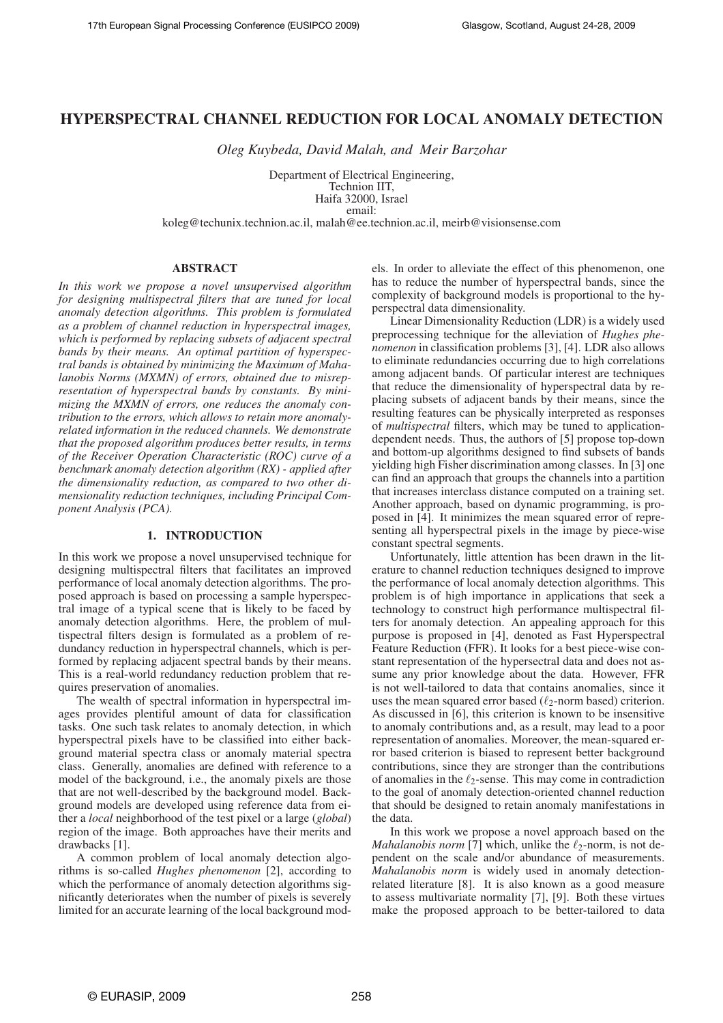# **HYPERSPECTRAL CHANNEL REDUCTION FOR LOCAL ANOMALY DETECTION**

*Oleg Kuybeda, David Malah, and Meir Barzohar*

Department of Electrical Engineering, Technion IIT, Haifa 32000, Israel

email:

koleg@techunix.technion.ac.il, malah@ee.technion.ac.il, meirb@visionsense.com

#### **ABSTRACT**

*In this work we propose a novel unsupervised algorithm for designing multispectral filters that are tuned for local anomaly detection algorithms. This problem is formulated as a problem of channel reduction in hyperspectral images, which is performed by replacing subsets of adjacent spectral bands by their means. An optimal partition of hyperspectral bands is obtained by minimizing the Maximum of Mahalanobis Norms (MXMN) of errors, obtained due to misrepresentation of hyperspectral bands by constants. By minimizing the MXMN of errors, one reduces the anomaly contribution to the errors, which allows to retain more anomalyrelated information in the reduced channels. We demonstrate that the proposed algorithm produces better results, in terms of the Receiver Operation Characteristic (ROC) curve of a benchmark anomaly detection algorithm (RX) - applied after the dimensionality reduction, as compared to two other dimensionality reduction techniques, including Principal Component Analysis (PCA).*

#### **1. INTRODUCTION**

In this work we propose a novel unsupervised technique for designing multispectral filters that facilitates an improved performance of local anomaly detection algorithms. The proposed approach is based on processing a sample hyperspectral image of a typical scene that is likely to be faced by anomaly detection algorithms. Here, the problem of multispectral filters design is formulated as a problem of redundancy reduction in hyperspectral channels, which is performed by replacing adjacent spectral bands by their means. This is a real-world redundancy reduction problem that requires preservation of anomalies.

The wealth of spectral information in hyperspectral images provides plentiful amount of data for classification tasks. One such task relates to anomaly detection, in which hyperspectral pixels have to be classified into either background material spectra class or anomaly material spectra class. Generally, anomalies are defined with reference to a model of the background, i.e., the anomaly pixels are those that are not well-described by the background model. Background models are developed using reference data from either a *local* neighborhood of the test pixel or a large (*global*) region of the image. Both approaches have their merits and drawbacks [1].

A common problem of local anomaly detection algorithms is so-called *Hughes phenomenon* [2], according to which the performance of anomaly detection algorithms significantly deteriorates when the number of pixels is severely limited for an accurate learning of the local background models. In order to alleviate the effect of this phenomenon, one has to reduce the number of hyperspectral bands, since the complexity of background models is proportional to the hyperspectral data dimensionality.

Linear Dimensionality Reduction (LDR) is a widely used preprocessing technique for the alleviation of *Hughes phenomenon* in classification problems [3], [4]. LDR also allows to eliminate redundancies occurring due to high correlations among adjacent bands. Of particular interest are techniques that reduce the dimensionality of hyperspectral data by replacing subsets of adjacent bands by their means, since the resulting features can be physically interpreted as responses of *multispectral* filters, which may be tuned to applicationdependent needs. Thus, the authors of [5] propose top-down and bottom-up algorithms designed to find subsets of bands yielding high Fisher discrimination among classes. In [3] one can find an approach that groups the channels into a partition that increases interclass distance computed on a training set. Another approach, based on dynamic programming, is proposed in [4]. It minimizes the mean squared error of representing all hyperspectral pixels in the image by piece-wise constant spectral segments.

Unfortunately, little attention has been drawn in the literature to channel reduction techniques designed to improve the performance of local anomaly detection algorithms. This problem is of high importance in applications that seek a technology to construct high performance multispectral filters for anomaly detection. An appealing approach for this purpose is proposed in [4], denoted as Fast Hyperspectral Feature Reduction (FFR). It looks for a best piece-wise constant representation of the hypersectral data and does not assume any prior knowledge about the data. However, FFR is not well-tailored to data that contains anomalies, since it uses the mean squared error based  $(\ell_2$ -norm based) criterion. As discussed in [6], this criterion is known to be insensitive to anomaly contributions and, as a result, may lead to a poor representation of anomalies. Moreover, the mean-squared error based criterion is biased to represent better background contributions, since they are stronger than the contributions of anomalies in the  $\ell_2$ -sense. This may come in contradiction to the goal of anomaly detection-oriented channel reduction that should be designed to retain anomaly manifestations in the data.

In this work we propose a novel approach based on the *Mahalanobis norm* [7] which, unlike the  $\ell_2$ -norm, is not dependent on the scale and/or abundance of measurements. *Mahalanobis norm* is widely used in anomaly detectionrelated literature [8]. It is also known as a good measure to assess multivariate normality [7], [9]. Both these virtues make the proposed approach to be better-tailored to data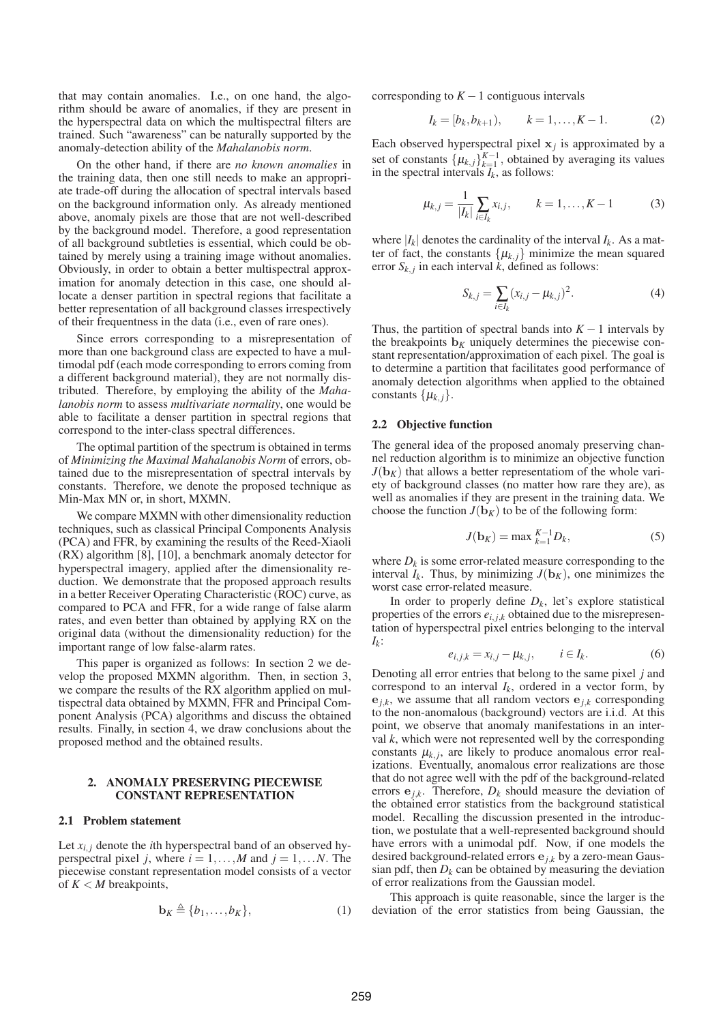that may contain anomalies. I.e., on one hand, the algorithm should be aware of anomalies, if they are present in the hyperspectral data on which the multispectral filters are trained. Such "awareness" can be naturally supported by the anomaly-detection ability of the *Mahalanobis norm*.

On the other hand, if there are *no known anomalies* in the training data, then one still needs to make an appropriate trade-off during the allocation of spectral intervals based on the background information only. As already mentioned above, anomaly pixels are those that are not well-described by the background model. Therefore, a good representation of all background subtleties is essential, which could be obtained by merely using a training image without anomalies. Obviously, in order to obtain a better multispectral approximation for anomaly detection in this case, one should allocate a denser partition in spectral regions that facilitate a better representation of all background classes irrespectively of their frequentness in the data (i.e., even of rare ones).

Since errors corresponding to a misrepresentation of more than one background class are expected to have a multimodal pdf (each mode corresponding to errors coming from a different background material), they are not normally distributed. Therefore, by employing the ability of the *Mahalanobis norm* to assess *multivariate normality*, one would be able to facilitate a denser partition in spectral regions that correspond to the inter-class spectral differences.

The optimal partition of the spectrum is obtained in terms of *Minimizing the Maximal Mahalanobis Norm* of errors, obtained due to the misrepresentation of spectral intervals by constants. Therefore, we denote the proposed technique as Min-Max MN or, in short, MXMN.

We compare MXMN with other dimensionality reduction techniques, such as classical Principal Components Analysis (PCA) and FFR, by examining the results of the Reed-Xiaoli (RX) algorithm [8], [10], a benchmark anomaly detector for hyperspectral imagery, applied after the dimensionality reduction. We demonstrate that the proposed approach results in a better Receiver Operating Characteristic (ROC) curve, as compared to PCA and FFR, for a wide range of false alarm rates, and even better than obtained by applying RX on the original data (without the dimensionality reduction) for the important range of low false-alarm rates.

This paper is organized as follows: In section 2 we develop the proposed MXMN algorithm. Then, in section 3, we compare the results of the RX algorithm applied on multispectral data obtained by MXMN, FFR and Principal Component Analysis (PCA) algorithms and discuss the obtained results. Finally, in section 4, we draw conclusions about the proposed method and the obtained results.

### **2. ANOMALY PRESERVING PIECEWISE CONSTANT REPRESENTATION**

### **2.1 Problem statement**

Let  $x_{i,j}$  denote the *i*th hyperspectral band of an observed hyperspectral pixel *j*, where  $i = 1, \ldots, M$  and  $j = 1, \ldots, N$ . The piecewise constant representation model consists of a vector of  $K < M$  breakpoints,

$$
\mathbf{b}_K \triangleq \{b_1, \dots, b_K\},\tag{1}
$$

corresponding to  $K-1$  contiguous intervals

$$
I_k = [b_k, b_{k+1}), \qquad k = 1, \dots, K - 1.
$$
 (2)

Each observed hyperspectral pixel  $x_j$  is approximated by a set of constants  $\{\mu_{k,j}\}_{k=1}^{K-1}$ , obtained by averaging its values in the spectral intervals  $I_k$ , as follows:

$$
\mu_{k,j} = \frac{1}{|I_k|} \sum_{i \in I_k} x_{i,j}, \qquad k = 1, \dots, K-1 \tag{3}
$$

where  $|I_k|$  denotes the cardinality of the interval  $I_k$ . As a matter of fact, the constants  $\{\mu_{k,j}\}\$  minimize the mean squared error  $S_{k,j}$  in each interval *k*, defined as follows:

$$
S_{k,j} = \sum_{i \in I_k} (x_{i,j} - \mu_{k,j})^2.
$$
 (4)

Thus, the partition of spectral bands into  $K - 1$  intervals by the breakpoints  $\mathbf{b}_K$  uniquely determines the piecewise constant representation/approximation of each pixel. The goal is to determine a partition that facilitates good performance of anomaly detection algorithms when applied to the obtained constants  $\{\mu_{k,j}\}.$ 

### **2.2 Objective function**

The general idea of the proposed anomaly preserving channel reduction algorithm is to minimize an objective function  $J(\mathbf{b}_K)$  that allows a better representatiom of the whole variety of background classes (no matter how rare they are), as well as anomalies if they are present in the training data. We choose the function  $J(b_K)$  to be of the following form:

$$
J(\mathbf{b}_K) = \max_{k=1}^{K-1} D_k,
$$
 (5)

where  $D_k$  is some error-related measure corresponding to the interval  $I_k$ . Thus, by minimizing  $J(\mathbf{b}_K)$ , one minimizes the worst case error-related measure.

In order to properly define  $D_k$ , let's explore statistical properties of the errors  $e_{i,j,k}$  obtained due to the misrepresentation of hyperspectral pixel entries belonging to the interval *Ik* :

$$
e_{i,j,k} = x_{i,j} - \mu_{k,j}, \qquad i \in I_k. \tag{6}
$$

Denoting all error entries that belong to the same pixel *j* and correspond to an interval  $I_k$ , ordered in a vector form, by  $\mathbf{e}_{j,k}$ , we assume that all random vectors  $\mathbf{e}_{j,k}$  corresponding to the non-anomalous (background) vectors are i.i.d. At this point, we observe that anomaly manifestations in an interval *k*, which were not represented well by the corresponding constants  $\mu_{k,j}$ , are likely to produce anomalous error realizations. Eventually, anomalous error realizations are those that do not agree well with the pdf of the background-related errors  $e_{j,k}$ . Therefore,  $D_k$  should measure the deviation of the obtained error statistics from the background statistical model. Recalling the discussion presented in the introduction, we postulate that a well-represented background should have errors with a unimodal pdf. Now, if one models the desired background-related errors e*j*,*<sup>k</sup>* by a zero-mean Gaussian pdf, then  $D_k$  can be obtained by measuring the deviation of error realizations from the Gaussian model.

This approach is quite reasonable, since the larger is the deviation of the error statistics from being Gaussian, the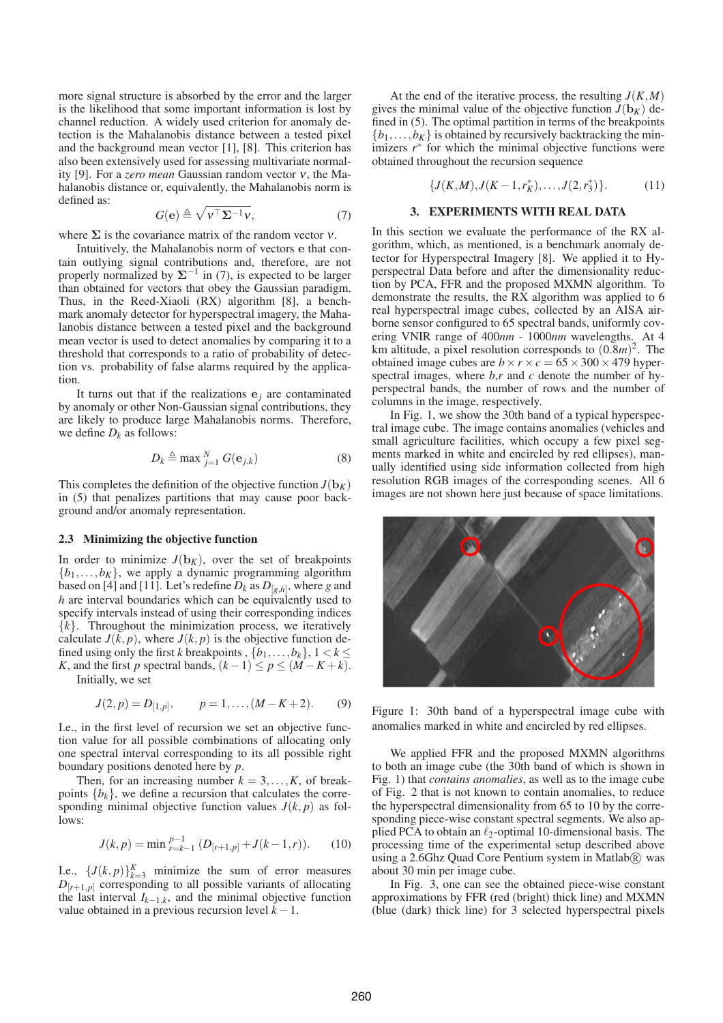more signal structure is absorbed by the error and the larger is the likelihood that some important information is lost by channel reduction. A widely used criterion for anomaly detection is the Mahalanobis distance between a tested pixel and the background mean vector [1], [8]. This criterion has also been extensively used for assessing multivariate normality [9]. For a *zero mean* Gaussian random vector <sup>ν</sup>, the Mahalanobis distance or, equivalently, the Mahalanobis norm is defined as:

$$
G(\mathbf{e}) \triangleq \sqrt{\mathbf{v}^{\top} \mathbf{\Sigma}^{-1} \mathbf{v}},\tag{7}
$$

where  $\Sigma$  is the covariance matrix of the random vector  $\nu$ .

Intuitively, the Mahalanobis norm of vectors e that contain outlying signal contributions and, therefore, are not properly normalized by  $\Sigma^{-1}$  in (7), is expected to be larger than obtained for vectors that obey the Gaussian paradigm. Thus, in the Reed-Xiaoli (RX) algorithm [8], a benchmark anomaly detector for hyperspectral imagery, the Mahalanobis distance between a tested pixel and the background mean vector is used to detect anomalies by comparing it to a threshold that corresponds to a ratio of probability of detection vs. probability of false alarms required by the application.

It turns out that if the realizations  $e_j$  are contaminated by anomaly or other Non-Gaussian signal contributions, they are likely to produce large Mahalanobis norms. Therefore, we define  $D_k$  as follows:

$$
D_k \triangleq \max_{j=1}^N G(\mathbf{e}_{j,k})
$$
 (8)

This completes the definition of the objective function  $J(b_K)$ in (5) that penalizes partitions that may cause poor background and/or anomaly representation.

#### **2.3 Minimizing the objective function**

In order to minimize  $J(b_K)$ , over the set of breakpoints  ${b_1, \ldots, b_K}$ , we apply a dynamic programming algorithm based on [4] and [11]. Let's redefine  $D_k$  as  $D_{[g,h]},$  where  $g$  and *h* are interval boundaries which can be equivalently used to specify intervals instead of using their corresponding indices  $\{k\}$ . Throughout the minimization process, we iteratively calculate  $J(k, p)$ , where  $J(k, p)$  is the objective function defined using only the first *k* breakpoints ,  $\{b_1, \ldots, b_k\}$ ,  $1 < k \leq$ *K*, and the first *p* spectral bands,  $(k-1) \leq p \leq (M - K + k)$ . Initially, we set

$$
J(2, p) = D_{[1, p]}, \qquad p = 1, \dots, (M - K + 2). \tag{9}
$$

I.e., in the first level of recursion we set an objective function value for all possible combinations of allocating only one spectral interval corresponding to its all possible right boundary positions denoted here by *p*.

Then, for an increasing number  $k = 3, \ldots, K$ , of breakpoints  ${b_k}$ , we define a recursion that calculates the corresponding minimal objective function values  $J(k, p)$  as follows:

$$
J(k, p) = \min_{r=k-1}^{p-1} (D_{[r+1,p]} + J(k-1,r)).
$$
 (10)

I.e.,  $\{J(k, p)\}_{k=3}^K$  minimize the sum of error measures  $D_{[r+1,p]}$  corresponding to all possible variants of allocating the last interval  $I_{k-1,k}$ , and the minimal objective function value obtained in a previous recursion level  $k - 1$ .

At the end of the iterative process, the resulting  $J(K,M)$ gives the minimal value of the objective function  $J(b_K)$  defined in (5). The optimal partition in terms of the breakpoints  $\{b_1,\ldots,b_K\}$  is obtained by recursively backtracking the minimizers  $r^*$  for which the minimal objective functions were obtained throughout the recursion sequence

$$
\{J(K,M), J(K-1,r_K^*), \ldots, J(2,r_3^*)\}.
$$
 (11)

### **3. EXPERIMENTS WITH REAL DATA**

In this section we evaluate the performance of the RX algorithm, which, as mentioned, is a benchmark anomaly detector for Hyperspectral Imagery [8]. We applied it to Hyperspectral Data before and after the dimensionality reduction by PCA, FFR and the proposed MXMN algorithm. To demonstrate the results, the RX algorithm was applied to 6 real hyperspectral image cubes, collected by an AISA airborne sensor configured to 65 spectral bands, uniformly covering VNIR range of 400*nm* - 1000*nm* wavelengths. At 4 km altitude, a pixel resolution corresponds to  $(0.8m)^2$ . The obtained image cubes are  $b \times r \times c = 65 \times 300 \times 479$  hyperspectral images, where *b*,*r* and *c* denote the number of hyperspectral bands, the number of rows and the number of columns in the image, respectively.

In Fig. 1, we show the 30th band of a typical hyperspectral image cube. The image contains anomalies (vehicles and small agriculture facilities, which occupy a few pixel segments marked in white and encircled by red ellipses), manually identified using side information collected from high resolution RGB images of the corresponding scenes. All 6 images are not shown here just because of space limitations.



Figure 1: 30th band of a hyperspectral image cube with anomalies marked in white and encircled by red ellipses.

We applied FFR and the proposed MXMN algorithms to both an image cube (the 30th band of which is shown in Fig. 1) that *contains anomalies*, as well as to the image cube of Fig. 2 that is not known to contain anomalies, to reduce the hyperspectral dimensionality from 65 to 10 by the corresponding piece-wise constant spectral segments. We also applied PCA to obtain an  $\ell_2$ -optimal 10-dimensional basis. The processing time of the experimental setup described above using a 2.6Ghz Quad Core Pentium system in Matlab $(\overline{R})$  was about 30 min per image cube.

In Fig. 3, one can see the obtained piece-wise constant approximations by FFR (red (bright) thick line) and MXMN (blue (dark) thick line) for 3 selected hyperspectral pixels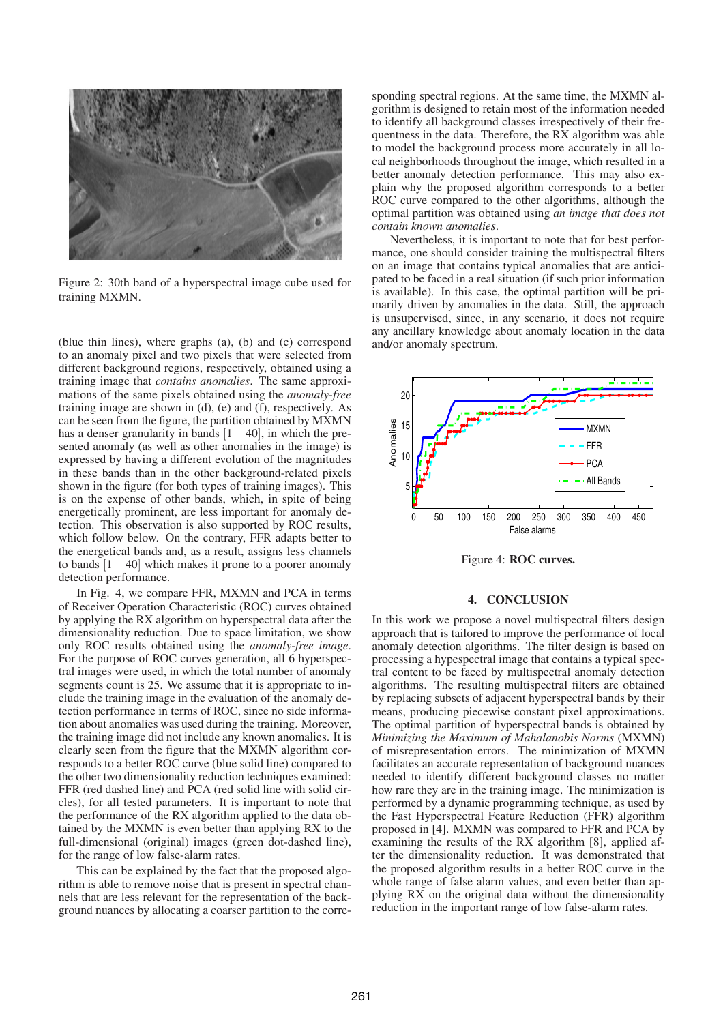

Figure 2: 30th band of a hyperspectral image cube used for training MXMN.

(blue thin lines), where graphs (a), (b) and (c) correspond to an anomaly pixel and two pixels that were selected from different background regions, respectively, obtained using a training image that *contains anomalies*. The same approximations of the same pixels obtained using the *anomaly-free* training image are shown in (d), (e) and (f), respectively. As can be seen from the figure, the partition obtained by MXMN has a denser granularity in bands  $[1-40]$ , in which the presented anomaly (as well as other anomalies in the image) is expressed by having a different evolution of the magnitudes in these bands than in the other background-related pixels shown in the figure (for both types of training images). This is on the expense of other bands, which, in spite of being energetically prominent, are less important for anomaly detection. This observation is also supported by ROC results, which follow below. On the contrary, FFR adapts better to the energetical bands and, as a result, assigns less channels to bands [1−40] which makes it prone to a poorer anomaly detection performance.

In Fig. 4, we compare FFR, MXMN and PCA in terms of Receiver Operation Characteristic (ROC) curves obtained by applying the RX algorithm on hyperspectral data after the dimensionality reduction. Due to space limitation, we show only ROC results obtained using the *anomaly-free image*. For the purpose of ROC curves generation, all 6 hyperspectral images were used, in which the total number of anomaly segments count is 25. We assume that it is appropriate to include the training image in the evaluation of the anomaly detection performance in terms of ROC, since no side information about anomalies was used during the training. Moreover, the training image did not include any known anomalies. It is clearly seen from the figure that the MXMN algorithm corresponds to a better ROC curve (blue solid line) compared to the other two dimensionality reduction techniques examined: FFR (red dashed line) and PCA (red solid line with solid circles), for all tested parameters. It is important to note that the performance of the RX algorithm applied to the data obtained by the MXMN is even better than applying RX to the full-dimensional (original) images (green dot-dashed line), for the range of low false-alarm rates.

This can be explained by the fact that the proposed algorithm is able to remove noise that is present in spectral channels that are less relevant for the representation of the background nuances by allocating a coarser partition to the corresponding spectral regions. At the same time, the MXMN algorithm is designed to retain most of the information needed to identify all background classes irrespectively of their frequentness in the data. Therefore, the RX algorithm was able to model the background process more accurately in all local neighborhoods throughout the image, which resulted in a better anomaly detection performance. This may also explain why the proposed algorithm corresponds to a better ROC curve compared to the other algorithms, although the optimal partition was obtained using *an image that does not contain known anomalies*.

Nevertheless, it is important to note that for best performance, one should consider training the multispectral filters on an image that contains typical anomalies that are anticipated to be faced in a real situation (if such prior information is available). In this case, the optimal partition will be primarily driven by anomalies in the data. Still, the approach is unsupervised, since, in any scenario, it does not require any ancillary knowledge about anomaly location in the data and/or anomaly spectrum.



Figure 4: **ROC curves.**

#### **4. CONCLUSION**

In this work we propose a novel multispectral filters design approach that is tailored to improve the performance of local anomaly detection algorithms. The filter design is based on processing a hypespectral image that contains a typical spectral content to be faced by multispectral anomaly detection algorithms. The resulting multispectral filters are obtained by replacing subsets of adjacent hyperspectral bands by their means, producing piecewise constant pixel approximations. The optimal partition of hyperspectral bands is obtained by *Minimizing the Maximum of Mahalanobis Norms* (MXMN) of misrepresentation errors. The minimization of MXMN facilitates an accurate representation of background nuances needed to identify different background classes no matter how rare they are in the training image. The minimization is performed by a dynamic programming technique, as used by the Fast Hyperspectral Feature Reduction (FFR) algorithm proposed in [4]. MXMN was compared to FFR and PCA by examining the results of the RX algorithm [8], applied after the dimensionality reduction. It was demonstrated that the proposed algorithm results in a better ROC curve in the whole range of false alarm values, and even better than applying RX on the original data without the dimensionality reduction in the important range of low false-alarm rates.